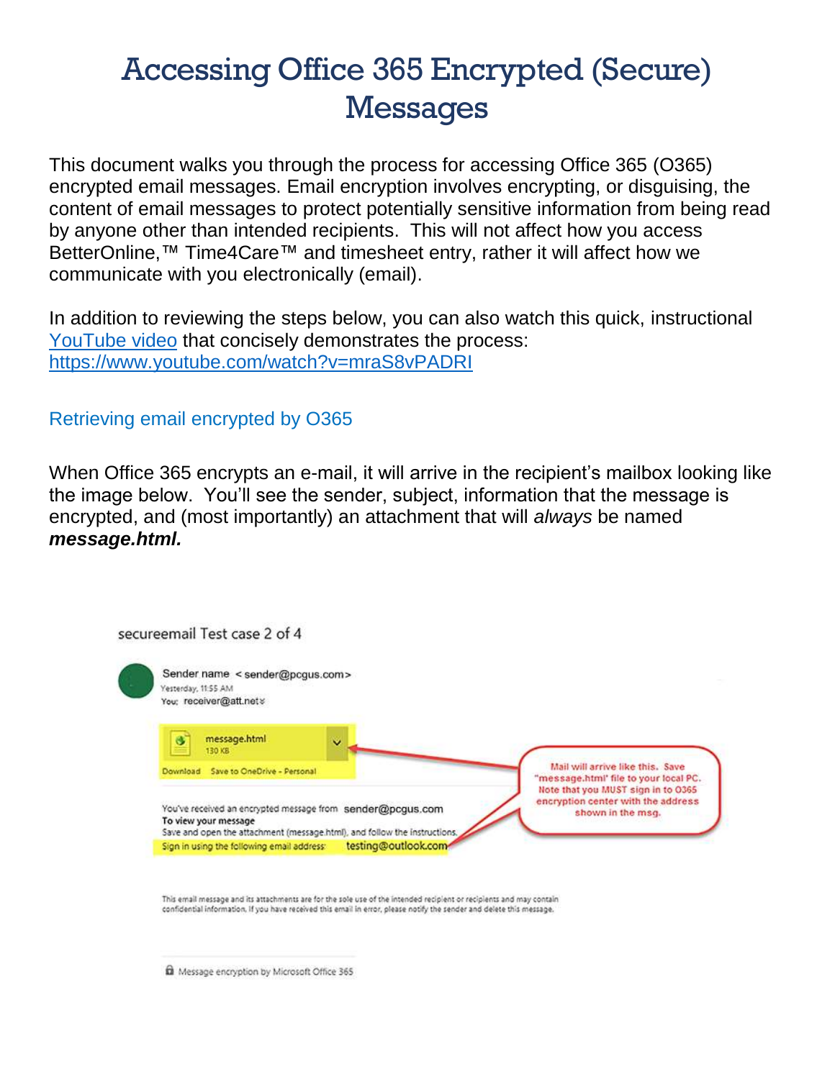## Accessing Office 365 Encrypted (Secure) **Messages**

This document walks you through the process for accessing Office 365 (O365) encrypted email messages. Email encryption involves encrypting, or disguising, the content of email messages to protect potentially sensitive information from being read by anyone other than intended recipients. This will not affect how you access BetterOnline,<sup>™</sup> Time4Care<sup>™</sup> and timesheet entry, rather it will affect how we communicate with you electronically (email).

In addition to reviewing the steps below, you can also watch this quick, instructional [YouTube video](https://www.youtube.com/watch?v=mraS8vPADRI) that concisely demonstrates the process: <https://www.youtube.com/watch?v=mraS8vPADRI>

## Retrieving email encrypted by O365

When Office 365 encrypts an e-mail, it will arrive in the recipient's mailbox looking like the image below. You'll see the sender, subject, information that the message is encrypted, and (most importantly) an attachment that will *always* be named *message.html.* 

| Sender name < sender@pcgus.com><br>Yesterday, 11:55 AM<br>You: receiver@att.net > |                                                                                                                                         |                     |                                                                                               |
|-----------------------------------------------------------------------------------|-----------------------------------------------------------------------------------------------------------------------------------------|---------------------|-----------------------------------------------------------------------------------------------|
| message.html<br>130 KB                                                            | G                                                                                                                                       |                     |                                                                                               |
| Download                                                                          | Save to OneDrive - Personal                                                                                                             |                     | Mail will arrive like this. Save<br>"message.html" file to your local PC.                     |
| To view your message                                                              | You've received an encrypted message from sender@pcgus.com<br>Save and open the attachment (message.html), and follow the instructions. |                     | Note that you MUST sign in to 0365<br>encryption center with the address<br>shown in the msg. |
| Sign in using the following email address:                                        |                                                                                                                                         | testing@outlook.com |                                                                                               |
|                                                                                   | This email message and its attachments are for the sole use of the intended recipient or recipients and may contain                     |                     |                                                                                               |
|                                                                                   | confidential information. If you have received this email in error, please notify the sender and delete this message.                   |                     |                                                                                               |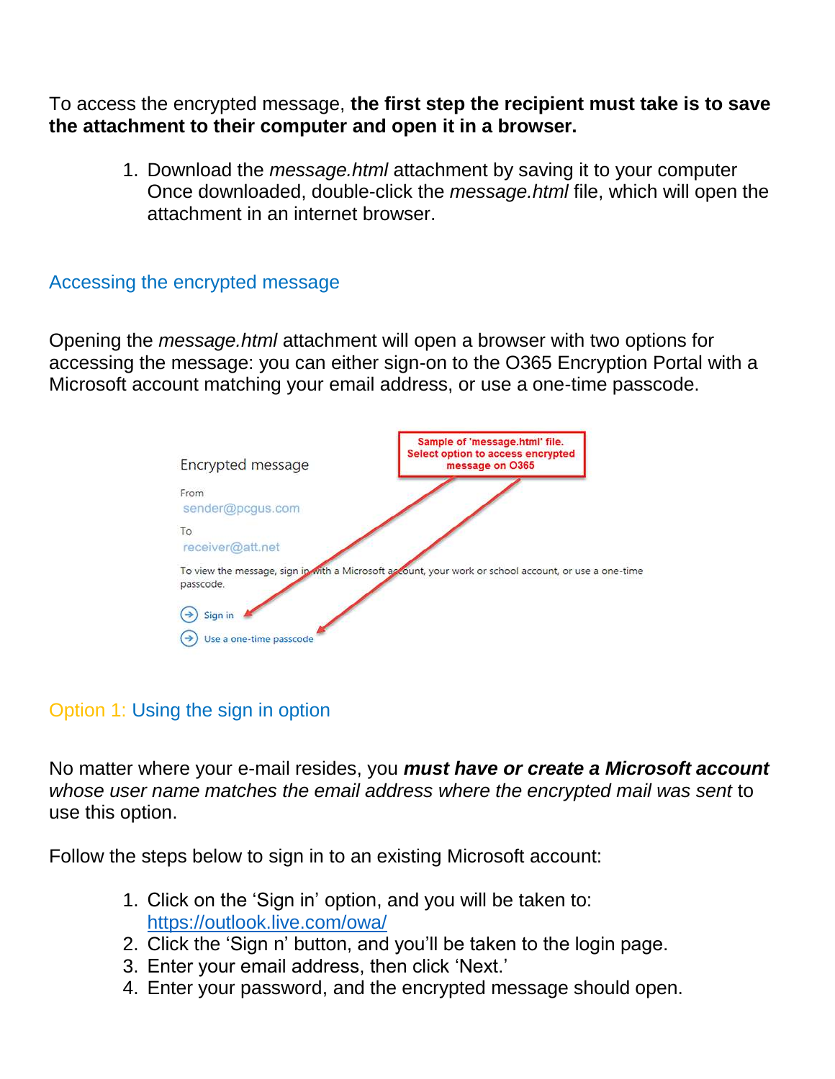To access the encrypted message, **the first step the recipient must take is to save the attachment to their computer and open it in a browser.**

> 1. Download the *message.html* attachment by saving it to your computer Once downloaded, double-click the *message.html* file, which will open the attachment in an internet browser.

## Accessing the encrypted message

Opening the *message.html* attachment will open a browser with two options for accessing the message: you can either sign-on to the O365 Encryption Portal with a Microsoft account matching your email address, or use a one-time passcode.



## Option 1: Using the sign in option

No matter where your e-mail resides, you *must have or create a Microsoft account whose user name matches the email address where the encrypted mail was sent* to use this option.

Follow the steps below to sign in to an existing Microsoft account:

- 1. Click on the 'Sign in' option, and you will be taken to: <https://outlook.live.com/owa/>
- 2. Click the 'Sign n' button, and you'll be taken to the login page.
- 3. Enter your email address, then click 'Next.'
- 4. Enter your password, and the encrypted message should open.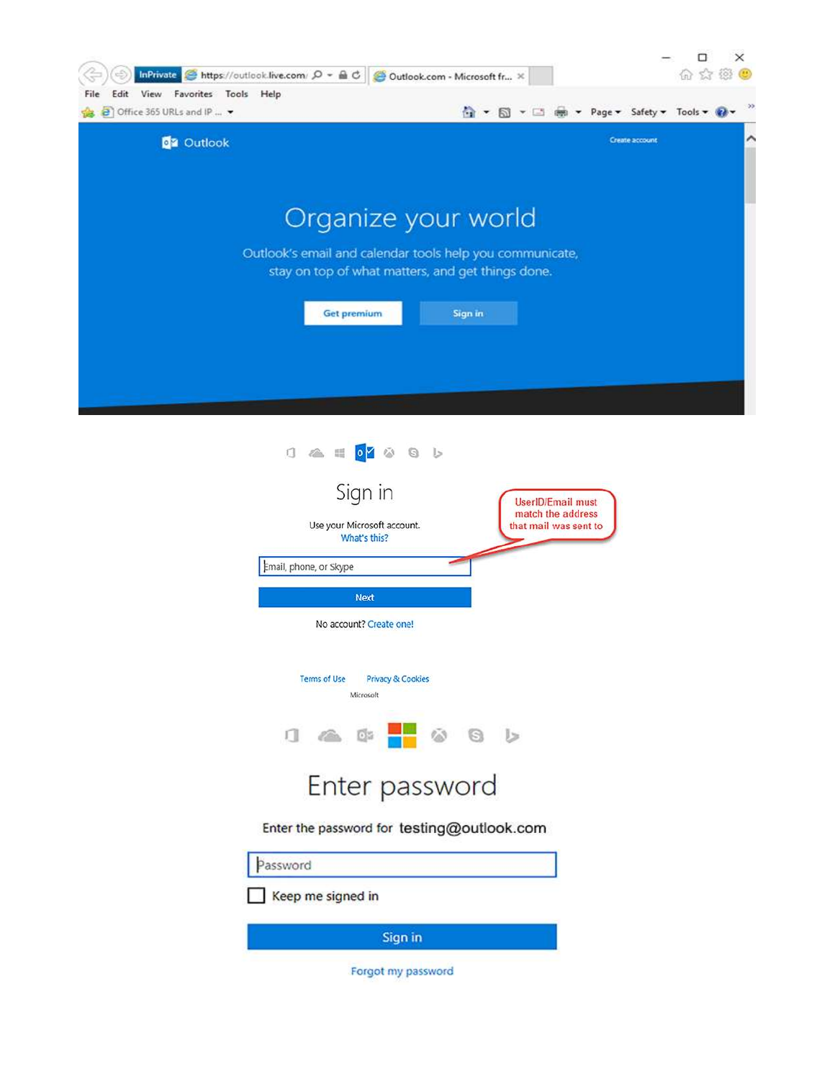

| $1$ $\approx$ $\approx$ $\sqrt{9}$ $\approx$ $\approx$ $\sqrt{9}$<br>Sign in<br><b>UserID/Email must</b><br>match the address |
|-------------------------------------------------------------------------------------------------------------------------------|
| Use your Microsoft account.<br>that mail was sent to<br>What's this?                                                          |
| Email, phone, or Skype                                                                                                        |
| <b>Next</b>                                                                                                                   |
| No account? Create one!                                                                                                       |
| <b>Terms of Use</b><br><b>Privacy &amp; Cookies</b><br>Microsoft<br>$\Box$ $\triangle$ $\Box$<br>G<br>خا                      |
| Enter password                                                                                                                |
| Enter the password for testing@outlook.com                                                                                    |
| Password                                                                                                                      |

Keep me signed in

Sign in

Forgot my password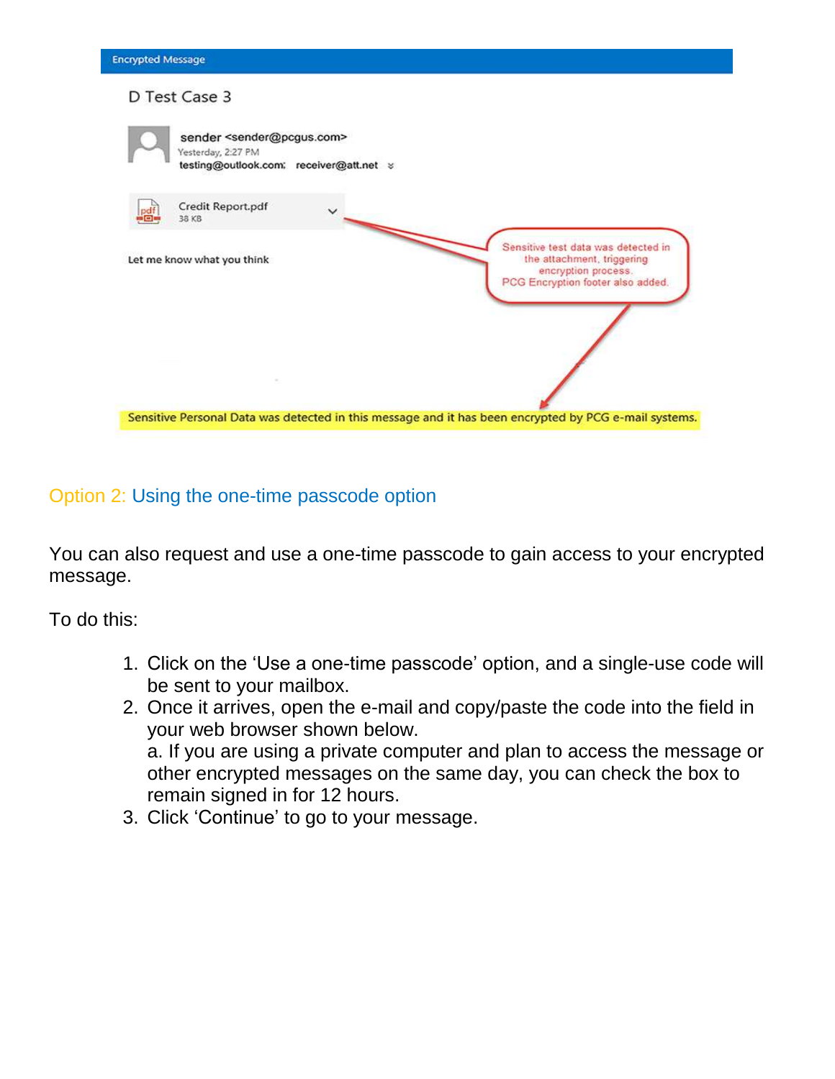| <b>Encrypted Message</b>                                                                                           |                                                                                                                               |
|--------------------------------------------------------------------------------------------------------------------|-------------------------------------------------------------------------------------------------------------------------------|
| D Test Case 3                                                                                                      |                                                                                                                               |
| sender <sender@pcgus.com><br/>Yesterday, 2:27 PM<br/>testing@outlook.com; receiver@att.net &gt;</sender@pcgus.com> |                                                                                                                               |
| Credit Report.pdf<br>38 KB                                                                                         |                                                                                                                               |
| Let me know what you think                                                                                         | Sensitive test data was detected in<br>the attachment, triggering<br>encryption process.<br>PCG Encryption footer also added. |
|                                                                                                                    |                                                                                                                               |
|                                                                                                                    | Sensitive Personal Data was detected in this message and it has been encrypted by PCG e-mail systems.                         |

Option 2: Using the one-time passcode option

You can also request and use a one-time passcode to gain access to your encrypted message.

To do this:

- 1. Click on the 'Use a one-time passcode' option, and a single-use code will be sent to your mailbox.
- 2. Once it arrives, open the e-mail and copy/paste the code into the field in your web browser shown below. a. If you are using a private computer and plan to access the message or other encrypted messages on the same day, you can check the box to remain signed in for 12 hours.
- 3. Click 'Continue' to go to your message.